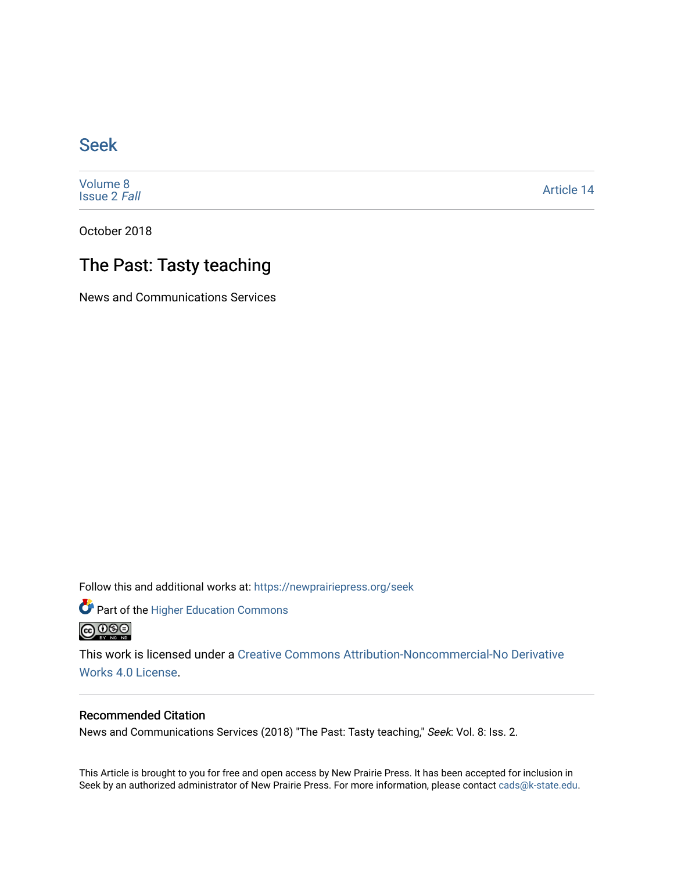## [Seek](https://newprairiepress.org/seek)

[Volume 8](https://newprairiepress.org/seek/vol8) [Issue 2](https://newprairiepress.org/seek/vol8/iss2) Fall

[Article 14](https://newprairiepress.org/seek/vol8/iss2/14) 

October 2018

## The Past: Tasty teaching

News and Communications Services

Follow this and additional works at: [https://newprairiepress.org/seek](https://newprairiepress.org/seek?utm_source=newprairiepress.org%2Fseek%2Fvol8%2Fiss2%2F14&utm_medium=PDF&utm_campaign=PDFCoverPages)

Part of the [Higher Education Commons](http://network.bepress.com/hgg/discipline/1245?utm_source=newprairiepress.org%2Fseek%2Fvol8%2Fiss2%2F14&utm_medium=PDF&utm_campaign=PDFCoverPages) 



This work is licensed under a [Creative Commons Attribution-Noncommercial-No Derivative](https://creativecommons.org/licenses/by-nc-nd/4.0/)  [Works 4.0 License](https://creativecommons.org/licenses/by-nc-nd/4.0/).

## Recommended Citation

News and Communications Services (2018) "The Past: Tasty teaching," Seek: Vol. 8: Iss. 2.

This Article is brought to you for free and open access by New Prairie Press. It has been accepted for inclusion in Seek by an authorized administrator of New Prairie Press. For more information, please contact [cads@k-state.edu](mailto:cads@k-state.edu).